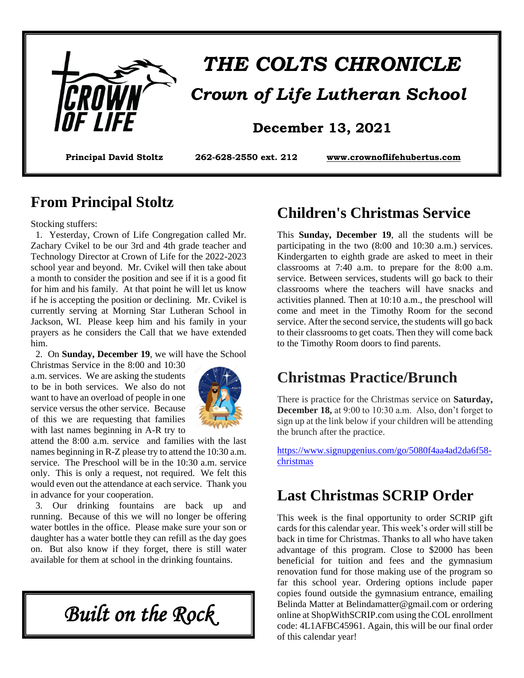

# *THE COLTS CHRONICLE Crown of Life Lutheran School*

**Principal David Stoltz 262-628-2550 ext. 212 [www.crownoflifehubertus.com](http://www.crownoflifehubertus.com/)**

#### **From Principal Stoltz**

Stocking stuffers:

 1. Yesterday, Crown of Life Congregation called Mr. Zachary Cvikel to be our 3rd and 4th grade teacher and Technology Director at Crown of Life for the 2022-2023 school year and beyond. Mr. Cvikel will then take about a month to consider the position and see if it is a good fit for him and his family. At that point he will let us know if he is accepting the position or declining. Mr. Cvikel is currently serving at Morning Star Lutheran School in Jackson, WI. Please keep him and his family in your prayers as he considers the Call that we have extended him.

2. On **Sunday, December 19**, we will have the School

Christmas Service in the 8:00 and 10:30 a.m. services. We are asking the students to be in both services. We also do not want to have an overload of people in one service versus the other service. Because of this we are requesting that families with last names beginning in A-R try to



attend the 8:00 a.m. service and families with the last names beginning in R-Z please try to attend the 10:30 a.m. service. The Preschool will be in the 10:30 a.m. service only. This is only a request, not required. We felt this would even out the attendance at each service. Thank you in advance for your cooperation.

 3. Our drinking fountains are back up and running. Because of this we will no longer be offering water bottles in the office. Please make sure your son or daughter has a water bottle they can refill as the day goes on. But also know if they forget, there is still water available for them at school in the drinking fountains.

*Built on the Rock* 

# **Children's Christmas Service**

This **Sunday, December 19**, all the students will be participating in the two (8:00 and 10:30 a.m.) services. Kindergarten to eighth grade are asked to meet in their classrooms at 7:40 a.m. to prepare for the 8:00 a.m. service. Between services, students will go back to their classrooms where the teachers will have snacks and activities planned. Then at 10:10 a.m., the preschool will come and meet in the Timothy Room for the second service. After the second service, the students will go back to their classrooms to get coats. Then they will come back to the Timothy Room doors to find parents.

# **Christmas Practice/Brunch**

There is practice for the Christmas service on **Saturday, December 18,** at 9:00 to 10:30 a.m. Also, don't forget to sign up at the link below if your children will be attending the brunch after the practice.

[https://www.signupgenius.com/go/5080f4aa4ad2da6f58](https://www.signupgenius.com/go/5080f4aa4ad2da6f58-christmas) [christmas](https://www.signupgenius.com/go/5080f4aa4ad2da6f58-christmas)

#### **Last Christmas SCRIP Order**

This week is the final opportunity to order SCRIP gift cards for this calendar year. This week's order will still be back in time for Christmas. Thanks to all who have taken advantage of this program. Close to \$2000 has been beneficial for tuition and fees and the gymnasium renovation fund for those making use of the program so far this school year. Ordering options include paper copies found outside the gymnasium entrance, emailing Belinda Matter at Belindamatter@gmail.com or ordering online at ShopWithSCRIP.com using the COL enrollment code: 4L1AFBC45961. Again, this will be our final order of this calendar year!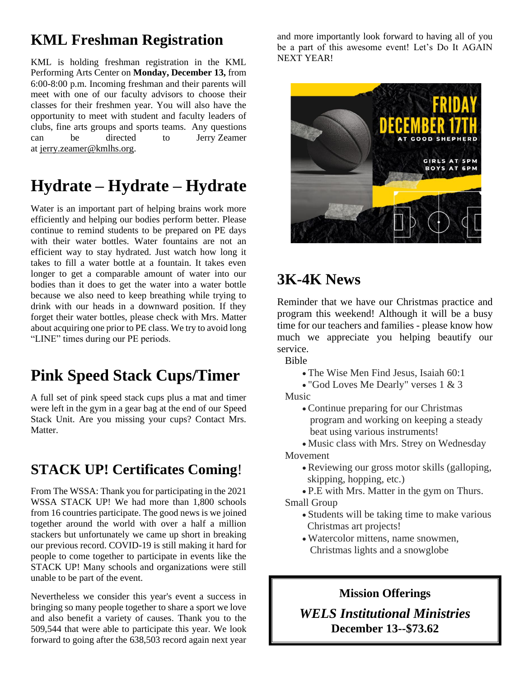# **KML Freshman Registration**

KML is holding freshman registration in the KML Performing Arts Center on **Monday, December 13,** from 6:00-8:00 p.m. Incoming freshman and their parents will meet with one of our faculty advisors to choose their classes for their freshmen year. You will also have the opportunity to meet with student and faculty leaders of clubs, fine arts groups and sports teams. Any questions can be directed to Jerry Zeamer at [jerry.zeamer@kmlhs.org.](mailto:jerry.zeamer@kmlhs.org)

# **Hydrate – Hydrate – Hydrate**

Water is an important part of helping brains work more efficiently and helping our bodies perform better. Please continue to remind students to be prepared on PE days with their water bottles. Water fountains are not an efficient way to stay hydrated. Just watch how long it takes to fill a water bottle at a fountain. It takes even longer to get a comparable amount of water into our bodies than it does to get the water into a water bottle because we also need to keep breathing while trying to drink with our heads in a downward position. If they forget their water bottles, please check with Mrs. Matter about acquiring one prior to PE class. We try to avoid long "LINE" times during our PE periods.

# **Pink Speed Stack Cups/Timer**

A full set of pink speed stack cups plus a mat and timer were left in the gym in a gear bag at the end of our Speed Stack Unit. Are you missing your cups? Contact Mrs. Matter.

### **STACK UP! Certificates Coming**!

From The WSSA: Thank you for participating in the 2021 WSSA STACK UP! We had more than 1,800 schools from 16 countries participate. The good news is we joined together around the world with over a half a million stackers but unfortunately we came up short in breaking our previous record. COVID-19 is still making it hard for people to come together to participate in events like the STACK UP! Many schools and organizations were still unable to be part of the event.

Nevertheless we consider this year's event a success in bringing so many people together to share a sport we love and also benefit a variety of causes. Thank you to the 509,544 that were able to participate this year. We look forward to going after the 638,503 record again next year

and more importantly look forward to having all of you be a part of this awesome event! Let's Do It AGAIN NEXT YEAR!



# **3K-4K News**

Reminder that we have our Christmas practice and program this weekend! Although it will be a busy time for our teachers and families - please know how much we appreciate you helping beautify our service.

Bible

- The Wise Men Find Jesus, Isaiah 60:1
- "God Loves Me Dearly" verses 1 & 3 Music
	- Continue preparing for our Christmas program and working on keeping a steady beat using various instruments!

• Music class with Mrs. Strey on Wednesday

#### Movement

- Reviewing our gross motor skills (galloping, skipping, hopping, etc.)
- P.E with Mrs. Matter in the gym on Thurs. Small Group
	- Students will be taking time to make various Christmas art projects!
	- Watercolor mittens, name snowmen, Christmas lights and a snowglobe

#### **Mission Offerings**

*WELS Institutional Ministries* **December 13--\$73.62**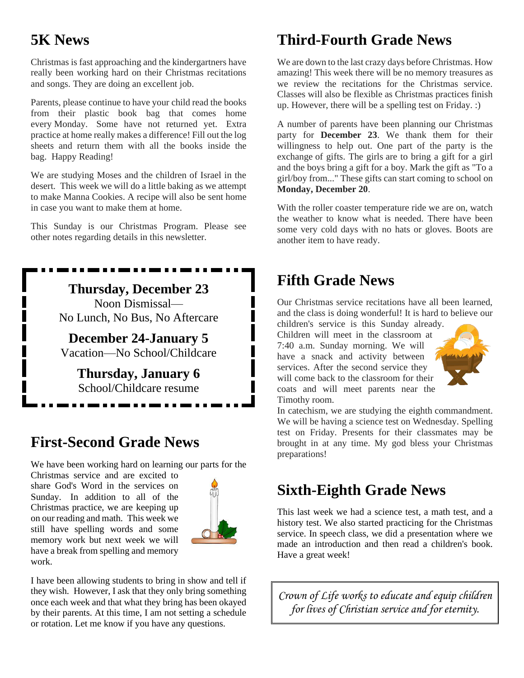# **5K News**

Christmas is fast approaching and the kindergartners have really been working hard on their Christmas recitations and songs. They are doing an excellent job.

Parents, please continue to have your child read the books from their plastic book bag that comes home every Monday. Some have not returned yet. Extra practice at home really makes a difference! Fill out the log sheets and return them with all the books inside the bag. Happy Reading!

We are studying Moses and the children of Israel in the desert. This week we will do a little baking as we attempt to make Manna Cookies. A recipe will also be sent home in case you want to make them at home.

This Sunday is our Christmas Program. Please see other notes regarding details in this newsletter.

> **Thursday, December 23** Noon Dismissal— No Lunch, No Bus, No Aftercare

**December 24-January 5** Vacation—No School/Childcare

> **Thursday, January 6** School/Childcare resume

> > . . . . . . . . .

# **First-Second Grade News**

We have been working hard on learning our parts for the

Christmas service and are excited to share God's Word in the services on Sunday. In addition to all of the Christmas practice, we are keeping up on our reading and math. This week we still have spelling words and some memory work but next week we will have a break from spelling and memory work.



I have been allowing students to bring in show and tell if they wish. However, I ask that they only bring something once each week and that what they bring has been okayed by their parents. At this time, I am not setting a schedule or rotation. Let me know if you have any questions.

# **Third-Fourth Grade News**

We are down to the last crazy days before Christmas. How amazing! This week there will be no memory treasures as we review the recitations for the Christmas service. Classes will also be flexible as Christmas practices finish up. However, there will be a spelling test on Friday. :)

A number of parents have been planning our Christmas party for **December 23**. We thank them for their willingness to help out. One part of the party is the exchange of gifts. The girls are to bring a gift for a girl and the boys bring a gift for a boy. Mark the gift as "To a girl/boy from..." These gifts can start coming to school on **Monday, December 20**.

With the roller coaster temperature ride we are on, watch the weather to know what is needed. There have been some very cold days with no hats or gloves. Boots are another item to have ready.

# **Fifth Grade News**

Our Christmas service recitations have all been learned, and the class is doing wonderful! It is hard to believe our

children's service is this Sunday already. Children will meet in the classroom at 7:40 a.m. Sunday morning. We will have a snack and activity between services. After the second service they will come back to the classroom for their coats and will meet parents near the Timothy room.



In catechism, we are studying the eighth commandment. We will be having a science test on Wednesday. Spelling test on Friday. Presents for their classmates may be brought in at any time. My god bless your Christmas preparations!

# **Sixth-Eighth Grade News**

This last week we had a science test, a math test, and a history test. We also started practicing for the Christmas service. In speech class, we did a presentation where we made an introduction and then read a children's book. Have a great week!

*Crown of Life works to educate and equip children for lives of Christian service and for eternity.*